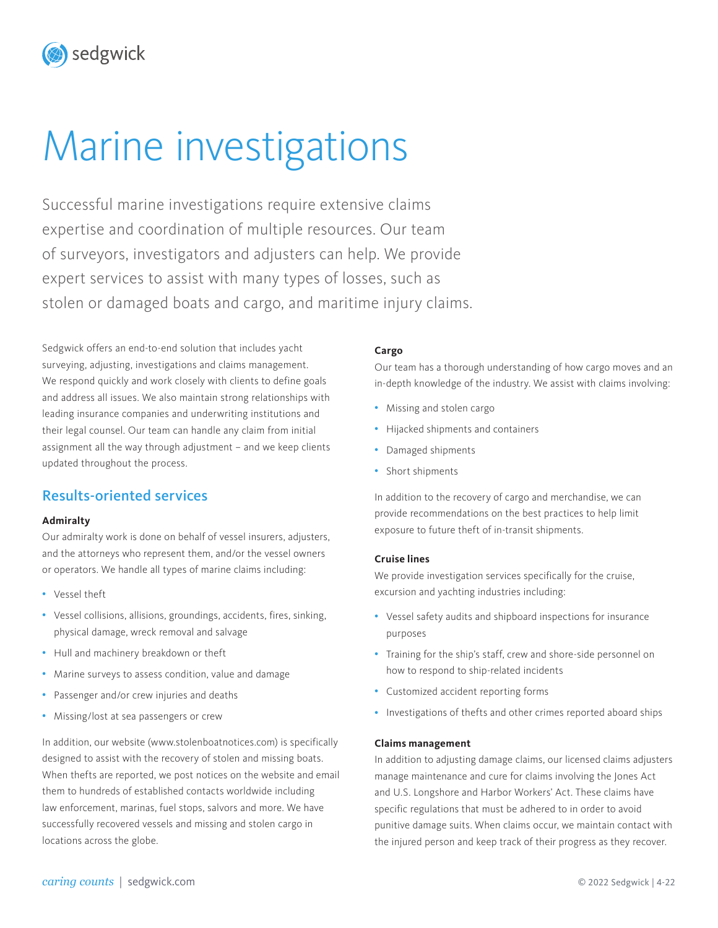# Marine investigations

Successful marine investigations require extensive claims expertise and coordination of multiple resources. Our team of surveyors, investigators and adjusters can help. We provide expert services to assist with many types of losses, such as stolen or damaged boats and cargo, and maritime injury claims.

Sedgwick offers an end-to-end solution that includes yacht surveying, adjusting, investigations and claims management. We respond quickly and work closely with clients to define goals and address all issues. We also maintain strong relationships with leading insurance companies and underwriting institutions and their legal counsel. Our team can handle any claim from initial assignment all the way through adjustment – and we keep clients updated throughout the process.

## Results-oriented services

sedgwick

#### **Admiralty**

Our admiralty work is done on behalf of vessel insurers, adjusters, and the attorneys who represent them, and/or the vessel owners or operators. We handle all types of marine claims including:

- Vessel theft
- Vessel collisions, allisions, groundings, accidents, fires, sinking, physical damage, wreck removal and salvage
- Hull and machinery breakdown or theft
- Marine surveys to assess condition, value and damage
- Passenger and/or crew injuries and deaths
- Missing/lost at sea passengers or crew

In addition, our website (www.stolenboatnotices.com) is specifically designed to assist with the recovery of stolen and missing boats. When thefts are reported, we post notices on the website and email them to hundreds of established contacts worldwide including law enforcement, marinas, fuel stops, salvors and more. We have successfully recovered vessels and missing and stolen cargo in locations across the globe.

#### **Cargo**

Our team has a thorough understanding of how cargo moves and an in-depth knowledge of the industry. We assist with claims involving:

- Missing and stolen cargo
- Hijacked shipments and containers
- Damaged shipments
- Short shipments

In addition to the recovery of cargo and merchandise, we can provide recommendations on the best practices to help limit exposure to future theft of in-transit shipments.

#### **Cruise lines**

We provide investigation services specifically for the cruise, excursion and yachting industries including:

- Vessel safety audits and shipboard inspections for insurance purposes
- Training for the ship's staff, crew and shore-side personnel on how to respond to ship-related incidents
- Customized accident reporting forms
- Investigations of thefts and other crimes reported aboard ships

#### **Claims management**

In addition to adjusting damage claims, our licensed claims adjusters manage maintenance and cure for claims involving the Jones Act and U.S. Longshore and Harbor Workers' Act. These claims have specific regulations that must be adhered to in order to avoid punitive damage suits. When claims occur, we maintain contact with the injured person and keep track of their progress as they recover.